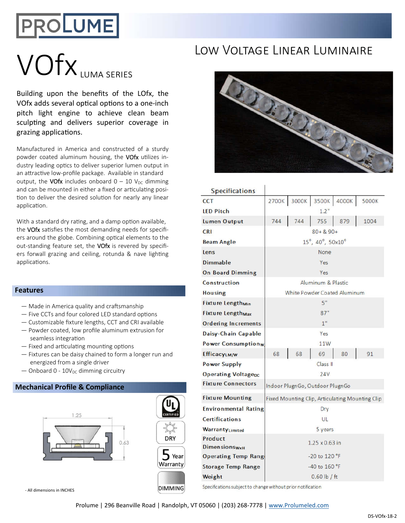## **PROLUME**

# LOW VOLTAGE LINEAR LUMINAIRE

Building upon the benefits of the LOfx, the VOfx adds several optical options to a one-inch pitch light engine to achieve clean beam sculpting and delivers superior coverage in grazing applications.

Manufactured in America and constructed of a sturdy powder coated aluminum housing, the VOfx utilizes industry leading optics to deliver superior lumen output in an attractive low-profile package. Available in standard output, the VOfx includes onboard  $0 - 10$  V<sub>DC</sub> dimming and can be mounted in either a fixed or articulating position to deliver the desired solution for nearly any linear application.

With a standard dry rating, and a damp option available, the VOfx satisfies the most demanding needs for specifiers around the globe. Combining optical elements to the out-standing feature set, the VOfx is revered by specifiers forwall grazing and ceiling, rotunda & nave lighting applications.

#### **Features**

- $-$  Made in America quality and craftsmanship
- $-$  Five CCTs and four colored LED standard options
- Customizable fixture lengths, CCT and CRI available
- Powder coated, low profile aluminum extrusion for seamless integration
- $-$  Fixed and articulating mounting options
- Fixtures can be daisy chained to form a longer run and energized from a single driver
- $-$  Onboard 0 10V<sub>DC</sub> dimming circuitry

#### **Mechanical Profile & Compliance**





- All dimensions in INCHES



| <b>Specifications</b>               |                                                 |     |             |       |       |  |  |  |  |
|-------------------------------------|-------------------------------------------------|-----|-------------|-------|-------|--|--|--|--|
| <b>CCT</b>                          | 2700K                                           |     | 3000K 3500K | 4000K | 5000K |  |  |  |  |
| <b>LED Pitch</b>                    | 1.2"                                            |     |             |       |       |  |  |  |  |
| <b>Lumen Output</b>                 | 744                                             | 744 | 755         | 879   | 1004  |  |  |  |  |
| <b>CRI</b>                          | $80 + 8.90 +$                                   |     |             |       |       |  |  |  |  |
| <b>Beam Angle</b>                   | 15°, 40°, 50x10°                                |     |             |       |       |  |  |  |  |
| Lens                                | None                                            |     |             |       |       |  |  |  |  |
| Dimmable                            | Yes                                             |     |             |       |       |  |  |  |  |
| <b>On Board Dimming</b>             | Yes                                             |     |             |       |       |  |  |  |  |
| Construction                        | Aluminum & Plastic                              |     |             |       |       |  |  |  |  |
| <b>Housing</b>                      | White Powder Coated Aluminum                    |     |             |       |       |  |  |  |  |
| <b>Fixture Length<sub>Min</sub></b> | 5"                                              |     |             |       |       |  |  |  |  |
| <b>Fixture Length<sub>Max</sub></b> | 87"                                             |     |             |       |       |  |  |  |  |
| <b>Ordering Increments</b>          | 1"                                              |     |             |       |       |  |  |  |  |
| Daisy-Chain Capable                 | Yes                                             |     |             |       |       |  |  |  |  |
| <b>Power Consumptionw</b>           | 11W                                             |     |             |       |       |  |  |  |  |
| <b>EfficacyLM/W</b>                 | 68                                              | 68  | 69          | 80    | 91    |  |  |  |  |
| <b>Power Supply</b>                 | Class II                                        |     |             |       |       |  |  |  |  |
| <b>Operating Voltagepc</b>          | 24V                                             |     |             |       |       |  |  |  |  |
| <b>Fixture Connectors</b>           | Indoor PlugnGo, Outdoor PlugnGo                 |     |             |       |       |  |  |  |  |
| <b>Fixture Mounting</b>             | Fixed Mounting Clip, Articulating Mounting Clip |     |             |       |       |  |  |  |  |
| <b>Environmental Rating</b>         | Dry                                             |     |             |       |       |  |  |  |  |
| <b>Certifications</b>               | UL                                              |     |             |       |       |  |  |  |  |
| WarrantyLimited                     | 5 years                                         |     |             |       |       |  |  |  |  |
| Product                             | $1.25 \times 0.63$ in                           |     |             |       |       |  |  |  |  |
| <b>DimensionswxH</b>                |                                                 |     |             |       |       |  |  |  |  |
| <b>Operating Temp Range</b>         | -20 to 120 °F                                   |     |             |       |       |  |  |  |  |
| <b>Storage Temp Range</b>           | -40 to 160 °F                                   |     |             |       |       |  |  |  |  |
| Weight                              | $0.60$ lb / ft                                  |     |             |       |       |  |  |  |  |

Specifications subject to change without prior notification

Prolume | 296 Beanville Road | Randolph, VT 05060 | (203) 268-7778 | www.Prolumeled.com